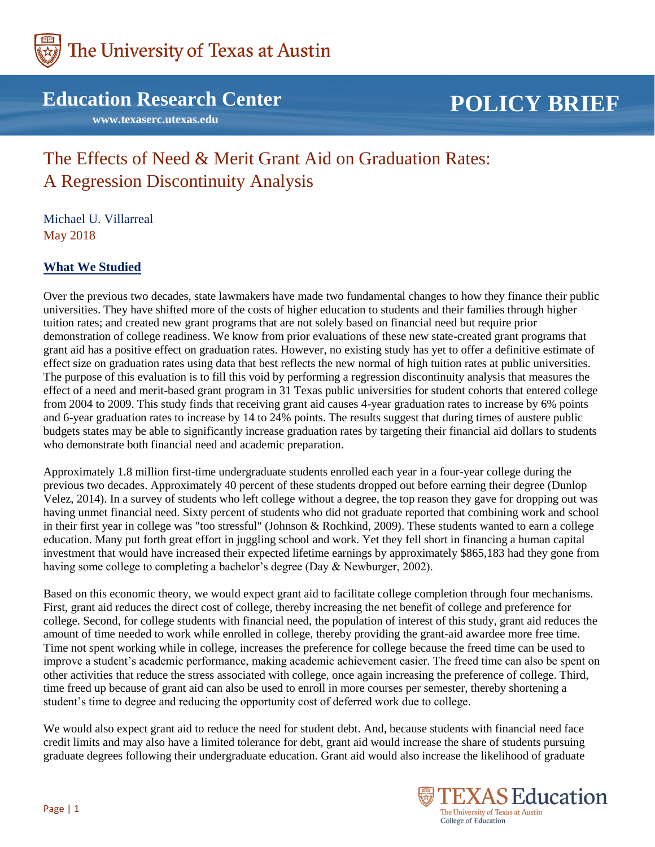

# **Education Research Center**

 **www.texaserc.utexas.edu**

# **POLICY BRIEF**

# The Effects of Need & Merit Grant Aid on Graduation Rates: A Regression Discontinuity Analysis

Michael U. Villarreal May 2018

# **What We Studied**

Over the previous two decades, state lawmakers have made two fundamental changes to how they finance their public universities. They have shifted more of the costs of higher education to students and their families through higher tuition rates; and created new grant programs that are not solely based on financial need but require prior demonstration of college readiness. We know from prior evaluations of these new state-created grant programs that grant aid has a positive effect on graduation rates. However, no existing study has yet to offer a definitive estimate of effect size on graduation rates using data that best reflects the new normal of high tuition rates at public universities. The purpose of this evaluation is to fill this void by performing a regression discontinuity analysis that measures the effect of a need and merit-based grant program in 31 Texas public universities for student cohorts that entered college from 2004 to 2009. This study finds that receiving grant aid causes 4-year graduation rates to increase by 6% points and 6-year graduation rates to increase by 14 to 24% points. The results suggest that during times of austere public budgets states may be able to significantly increase graduation rates by targeting their financial aid dollars to students who demonstrate both financial need and academic preparation.

Approximately 1.8 million first-time undergraduate students enrolled each year in a four-year college during the previous two decades. Approximately 40 percent of these students dropped out before earning their degree (Dunlop Velez, 2014). In a survey of students who left college without a degree, the top reason they gave for dropping out was having unmet financial need. Sixty percent of students who did not graduate reported that combining work and school in their first year in college was "too stressful" (Johnson & Rochkind, 2009). These students wanted to earn a college education. Many put forth great effort in juggling school and work. Yet they fell short in financing a human capital investment that would have increased their expected lifetime earnings by approximately \$865,183 had they gone from having some college to completing a bachelor's degree (Day & Newburger, 2002).

Based on this economic theory, we would expect grant aid to facilitate college completion through four mechanisms. First, grant aid reduces the direct cost of college, thereby increasing the net benefit of college and preference for college. Second, for college students with financial need, the population of interest of this study, grant aid reduces the amount of time needed to work while enrolled in college, thereby providing the grant-aid awardee more free time. Time not spent working while in college, increases the preference for college because the freed time can be used to improve a student's academic performance, making academic achievement easier. The freed time can also be spent on other activities that reduce the stress associated with college, once again increasing the preference of college. Third, time freed up because of grant aid can also be used to enroll in more courses per semester, thereby shortening a student's time to degree and reducing the opportunity cost of deferred work due to college.

We would also expect grant aid to reduce the need for student debt. And, because students with financial need face credit limits and may also have a limited tolerance for debt, grant aid would increase the share of students pursuing graduate degrees following their undergraduate education. Grant aid would also increase the likelihood of graduate

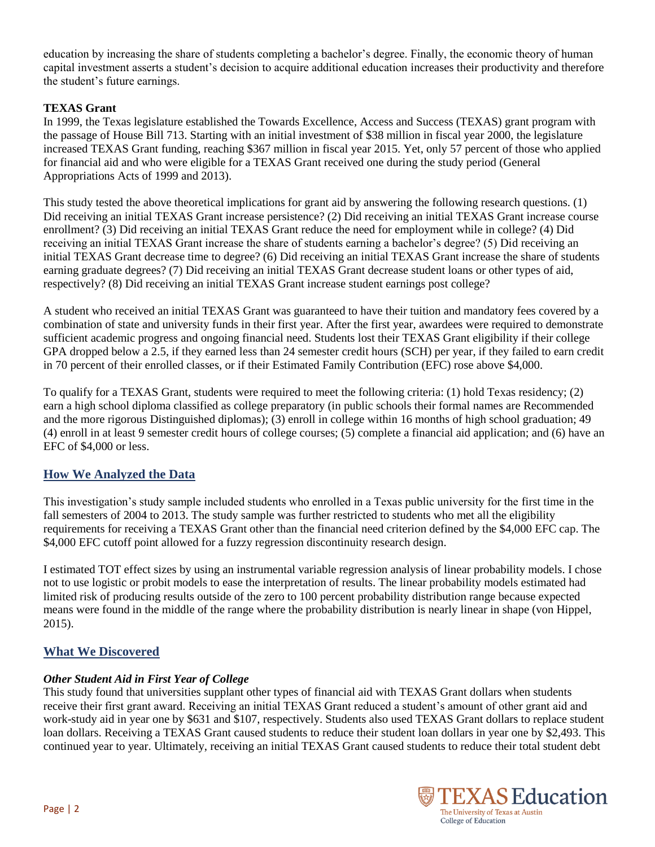education by increasing the share of students completing a bachelor's degree. Finally, the economic theory of human capital investment asserts a student's decision to acquire additional education increases their productivity and therefore the student's future earnings.

#### **TEXAS Grant**

In 1999, the Texas legislature established the Towards Excellence, Access and Success (TEXAS) grant program with the passage of House Bill 713. Starting with an initial investment of \$38 million in fiscal year 2000, the legislature increased TEXAS Grant funding, reaching \$367 million in fiscal year 2015. Yet, only 57 percent of those who applied for financial aid and who were eligible for a TEXAS Grant received one during the study period (General Appropriations Acts of 1999 and 2013).

This study tested the above theoretical implications for grant aid by answering the following research questions. (1) Did receiving an initial TEXAS Grant increase persistence? (2) Did receiving an initial TEXAS Grant increase course enrollment? (3) Did receiving an initial TEXAS Grant reduce the need for employment while in college? (4) Did receiving an initial TEXAS Grant increase the share of students earning a bachelor's degree? (5) Did receiving an initial TEXAS Grant decrease time to degree? (6) Did receiving an initial TEXAS Grant increase the share of students earning graduate degrees? (7) Did receiving an initial TEXAS Grant decrease student loans or other types of aid, respectively? (8) Did receiving an initial TEXAS Grant increase student earnings post college?

A student who received an initial TEXAS Grant was guaranteed to have their tuition and mandatory fees covered by a combination of state and university funds in their first year. After the first year, awardees were required to demonstrate sufficient academic progress and ongoing financial need. Students lost their TEXAS Grant eligibility if their college GPA dropped below a 2.5, if they earned less than 24 semester credit hours (SCH) per year, if they failed to earn credit in 70 percent of their enrolled classes, or if their Estimated Family Contribution (EFC) rose above \$4,000.

To qualify for a TEXAS Grant, students were required to meet the following criteria: (1) hold Texas residency; (2) earn a high school diploma classified as college preparatory (in public schools their formal names are Recommended and the more rigorous Distinguished diplomas); (3) enroll in college within 16 months of high school graduation; 49 (4) enroll in at least 9 semester credit hours of college courses; (5) complete a financial aid application; and (6) have an EFC of \$4,000 or less.

# **How We Analyzed the Data**

This investigation's study sample included students who enrolled in a Texas public university for the first time in the fall semesters of 2004 to 2013. The study sample was further restricted to students who met all the eligibility requirements for receiving a TEXAS Grant other than the financial need criterion defined by the \$4,000 EFC cap. The \$4,000 EFC cutoff point allowed for a fuzzy regression discontinuity research design.

I estimated TOT effect sizes by using an instrumental variable regression analysis of linear probability models. I chose not to use logistic or probit models to ease the interpretation of results. The linear probability models estimated had limited risk of producing results outside of the zero to 100 percent probability distribution range because expected means were found in the middle of the range where the probability distribution is nearly linear in shape (von Hippel, 2015).

# **What We Discovered**

#### *Other Student Aid in First Year of College*

This study found that universities supplant other types of financial aid with TEXAS Grant dollars when students receive their first grant award. Receiving an initial TEXAS Grant reduced a student's amount of other grant aid and work-study aid in year one by \$631 and \$107, respectively. Students also used TEXAS Grant dollars to replace student loan dollars. Receiving a TEXAS Grant caused students to reduce their student loan dollars in year one by \$2,493. This continued year to year. Ultimately, receiving an initial TEXAS Grant caused students to reduce their total student debt

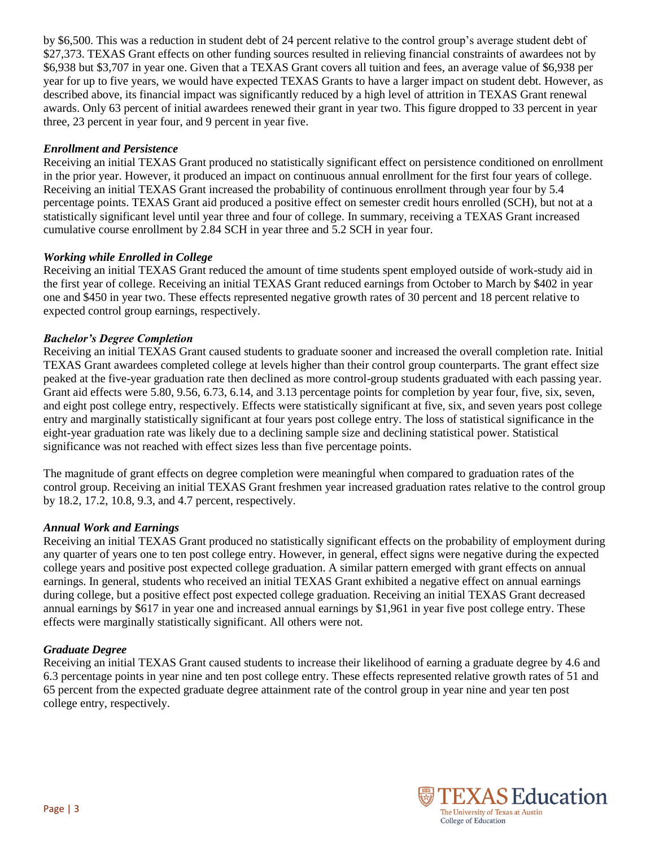by \$6,500. This was a reduction in student debt of 24 percent relative to the control group's average student debt of \$27,373. TEXAS Grant effects on other funding sources resulted in relieving financial constraints of awardees not by \$6,938 but \$3,707 in year one. Given that a TEXAS Grant covers all tuition and fees, an average value of \$6,938 per year for up to five years, we would have expected TEXAS Grants to have a larger impact on student debt. However, as described above, its financial impact was significantly reduced by a high level of attrition in TEXAS Grant renewal awards. Only 63 percent of initial awardees renewed their grant in year two. This figure dropped to 33 percent in year three, 23 percent in year four, and 9 percent in year five.

#### *Enrollment and Persistence*

Receiving an initial TEXAS Grant produced no statistically significant effect on persistence conditioned on enrollment in the prior year. However, it produced an impact on continuous annual enrollment for the first four years of college. Receiving an initial TEXAS Grant increased the probability of continuous enrollment through year four by 5.4 percentage points. TEXAS Grant aid produced a positive effect on semester credit hours enrolled (SCH), but not at a statistically significant level until year three and four of college. In summary, receiving a TEXAS Grant increased cumulative course enrollment by 2.84 SCH in year three and 5.2 SCH in year four.

#### *Working while Enrolled in College*

Receiving an initial TEXAS Grant reduced the amount of time students spent employed outside of work-study aid in the first year of college. Receiving an initial TEXAS Grant reduced earnings from October to March by \$402 in year one and \$450 in year two. These effects represented negative growth rates of 30 percent and 18 percent relative to expected control group earnings, respectively.

#### *Bachelor's Degree Completion*

Receiving an initial TEXAS Grant caused students to graduate sooner and increased the overall completion rate. Initial TEXAS Grant awardees completed college at levels higher than their control group counterparts. The grant effect size peaked at the five-year graduation rate then declined as more control-group students graduated with each passing year. Grant aid effects were 5.80, 9.56, 6.73, 6.14, and 3.13 percentage points for completion by year four, five, six, seven, and eight post college entry, respectively. Effects were statistically significant at five, six, and seven years post college entry and marginally statistically significant at four years post college entry. The loss of statistical significance in the eight-year graduation rate was likely due to a declining sample size and declining statistical power. Statistical significance was not reached with effect sizes less than five percentage points.

The magnitude of grant effects on degree completion were meaningful when compared to graduation rates of the control group. Receiving an initial TEXAS Grant freshmen year increased graduation rates relative to the control group by 18.2, 17.2, 10.8, 9.3, and 4.7 percent, respectively.

#### *Annual Work and Earnings*

Receiving an initial TEXAS Grant produced no statistically significant effects on the probability of employment during any quarter of years one to ten post college entry. However, in general, effect signs were negative during the expected college years and positive post expected college graduation. A similar pattern emerged with grant effects on annual earnings. In general, students who received an initial TEXAS Grant exhibited a negative effect on annual earnings during college, but a positive effect post expected college graduation. Receiving an initial TEXAS Grant decreased annual earnings by \$617 in year one and increased annual earnings by \$1,961 in year five post college entry. These effects were marginally statistically significant. All others were not.

#### *Graduate Degree*

Receiving an initial TEXAS Grant caused students to increase their likelihood of earning a graduate degree by 4.6 and 6.3 percentage points in year nine and ten post college entry. These effects represented relative growth rates of 51 and 65 percent from the expected graduate degree attainment rate of the control group in year nine and year ten post college entry, respectively.

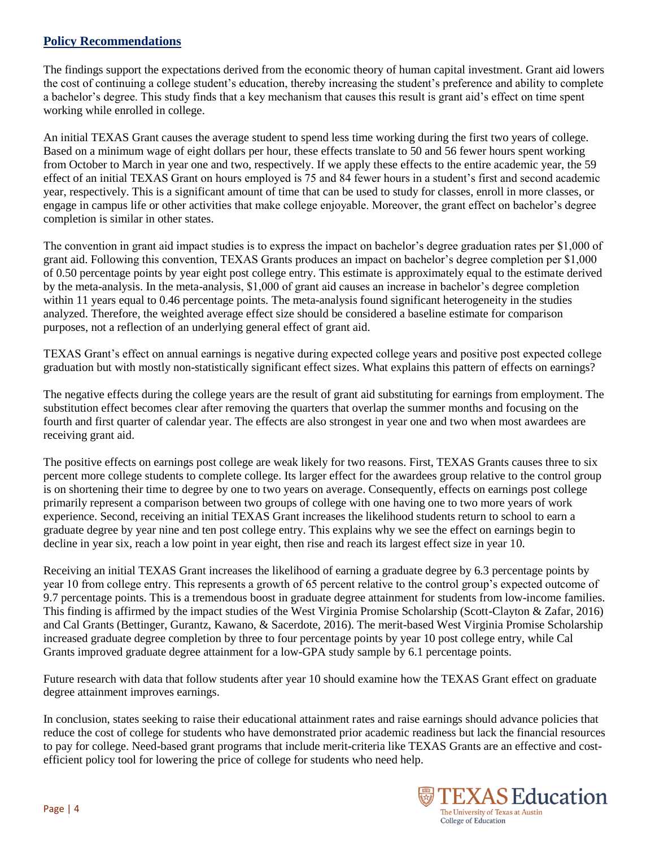### **Policy Recommendations**

The findings support the expectations derived from the economic theory of human capital investment. Grant aid lowers the cost of continuing a college student's education, thereby increasing the student's preference and ability to complete a bachelor's degree. This study finds that a key mechanism that causes this result is grant aid's effect on time spent working while enrolled in college.

An initial TEXAS Grant causes the average student to spend less time working during the first two years of college. Based on a minimum wage of eight dollars per hour, these effects translate to 50 and 56 fewer hours spent working from October to March in year one and two, respectively. If we apply these effects to the entire academic year, the 59 effect of an initial TEXAS Grant on hours employed is 75 and 84 fewer hours in a student's first and second academic year, respectively. This is a significant amount of time that can be used to study for classes, enroll in more classes, or engage in campus life or other activities that make college enjoyable. Moreover, the grant effect on bachelor's degree completion is similar in other states.

The convention in grant aid impact studies is to express the impact on bachelor's degree graduation rates per \$1,000 of grant aid. Following this convention, TEXAS Grants produces an impact on bachelor's degree completion per \$1,000 of 0.50 percentage points by year eight post college entry. This estimate is approximately equal to the estimate derived by the meta-analysis. In the meta-analysis, \$1,000 of grant aid causes an increase in bachelor's degree completion within 11 years equal to 0.46 percentage points. The meta-analysis found significant heterogeneity in the studies analyzed. Therefore, the weighted average effect size should be considered a baseline estimate for comparison purposes, not a reflection of an underlying general effect of grant aid.

TEXAS Grant's effect on annual earnings is negative during expected college years and positive post expected college graduation but with mostly non-statistically significant effect sizes. What explains this pattern of effects on earnings?

The negative effects during the college years are the result of grant aid substituting for earnings from employment. The substitution effect becomes clear after removing the quarters that overlap the summer months and focusing on the fourth and first quarter of calendar year. The effects are also strongest in year one and two when most awardees are receiving grant aid.

The positive effects on earnings post college are weak likely for two reasons. First, TEXAS Grants causes three to six percent more college students to complete college. Its larger effect for the awardees group relative to the control group is on shortening their time to degree by one to two years on average. Consequently, effects on earnings post college primarily represent a comparison between two groups of college with one having one to two more years of work experience. Second, receiving an initial TEXAS Grant increases the likelihood students return to school to earn a graduate degree by year nine and ten post college entry. This explains why we see the effect on earnings begin to decline in year six, reach a low point in year eight, then rise and reach its largest effect size in year 10.

Receiving an initial TEXAS Grant increases the likelihood of earning a graduate degree by 6.3 percentage points by year 10 from college entry. This represents a growth of 65 percent relative to the control group's expected outcome of 9.7 percentage points. This is a tremendous boost in graduate degree attainment for students from low-income families. This finding is affirmed by the impact studies of the West Virginia Promise Scholarship (Scott-Clayton & Zafar, 2016) and Cal Grants (Bettinger, Gurantz, Kawano, & Sacerdote, 2016). The merit-based West Virginia Promise Scholarship increased graduate degree completion by three to four percentage points by year 10 post college entry, while Cal Grants improved graduate degree attainment for a low-GPA study sample by 6.1 percentage points.

Future research with data that follow students after year 10 should examine how the TEXAS Grant effect on graduate degree attainment improves earnings.

In conclusion, states seeking to raise their educational attainment rates and raise earnings should advance policies that reduce the cost of college for students who have demonstrated prior academic readiness but lack the financial resources to pay for college. Need-based grant programs that include merit-criteria like TEXAS Grants are an effective and costefficient policy tool for lowering the price of college for students who need help.